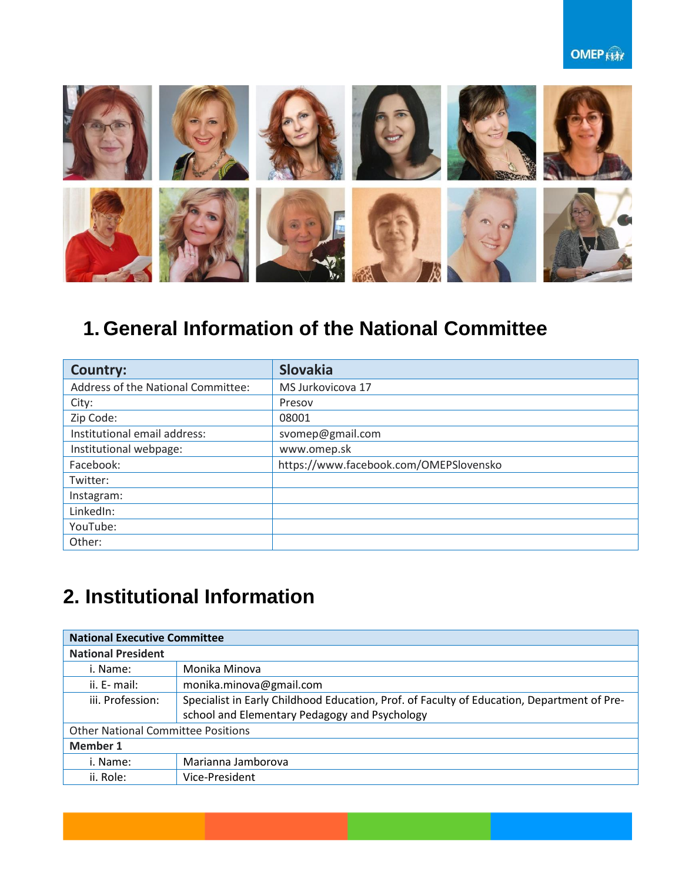#### **OMEP Kitt**



# **1. General Information of the National Committee**

| <b>Country:</b>                    | <b>Slovakia</b>                        |
|------------------------------------|----------------------------------------|
| Address of the National Committee: | MS Jurkovicova 17                      |
| City:                              | Presov                                 |
| Zip Code:                          | 08001                                  |
| Institutional email address:       | svomep@gmail.com                       |
| Institutional webpage:             | www.omep.sk                            |
| Facebook:                          | https://www.facebook.com/OMEPSlovensko |
| Twitter:                           |                                        |
| Instagram:                         |                                        |
| LinkedIn:                          |                                        |
| YouTube:                           |                                        |
| Other:                             |                                        |

# **2. Institutional Information**

| <b>National Executive Committee</b>       |                                                                                            |  |
|-------------------------------------------|--------------------------------------------------------------------------------------------|--|
| <b>National President</b>                 |                                                                                            |  |
| i. Name:                                  | Monika Minova                                                                              |  |
| ii. E- mail:                              | monika.minova@gmail.com                                                                    |  |
| iii. Profession:                          | Specialist in Early Childhood Education, Prof. of Faculty of Education, Department of Pre- |  |
|                                           | school and Elementary Pedagogy and Psychology                                              |  |
| <b>Other National Committee Positions</b> |                                                                                            |  |
| Member 1                                  |                                                                                            |  |
| i. Name:                                  | Marianna Jamborova                                                                         |  |
| ii. Role:                                 | Vice-President                                                                             |  |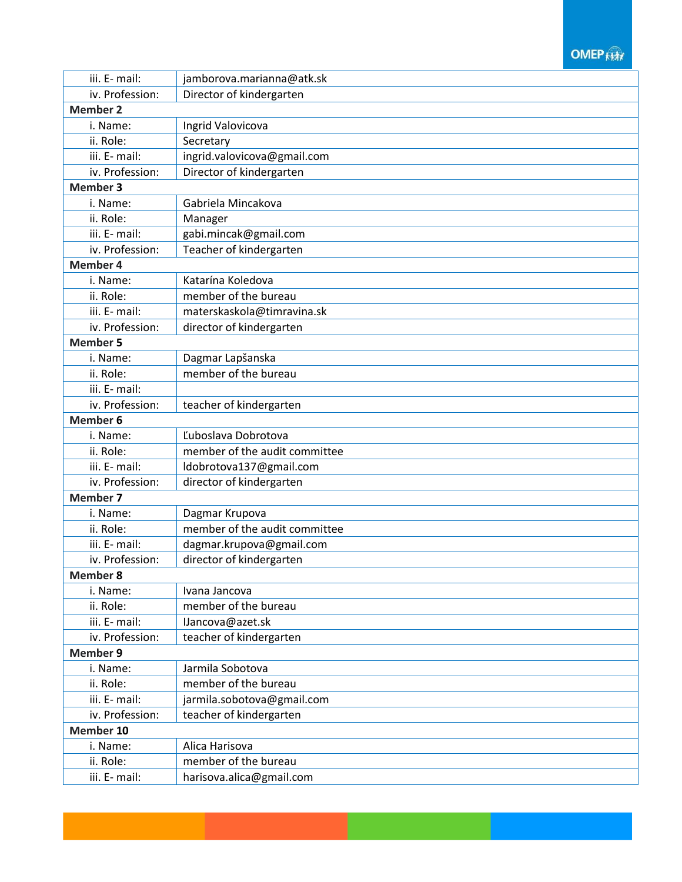#### **OMEP ANY**

| iii. E- mail:   | jamborova.marianna@atk.sk     |  |
|-----------------|-------------------------------|--|
| iv. Profession: | Director of kindergarten      |  |
| <b>Member 2</b> |                               |  |
| i. Name:        | Ingrid Valovicova             |  |
| ii. Role:       | Secretary                     |  |
| iii. E- mail:   | ingrid.valovicova@gmail.com   |  |
| iv. Profession: | Director of kindergarten      |  |
| <b>Member 3</b> |                               |  |
| i. Name:        | Gabriela Mincakova            |  |
| ii. Role:       | Manager                       |  |
| iii. E- mail:   | gabi.mincak@gmail.com         |  |
| iv. Profession: | Teacher of kindergarten       |  |
| <b>Member 4</b> |                               |  |
| i. Name:        | Katarína Koledova             |  |
| ii. Role:       | member of the bureau          |  |
| iii. E- mail:   | materskaskola@timravina.sk    |  |
| iv. Profession: | director of kindergarten      |  |
| <b>Member 5</b> |                               |  |
| i. Name:        | Dagmar Lapšanska              |  |
| ii. Role:       | member of the bureau          |  |
| iii. E- mail:   |                               |  |
| iv. Profession: | teacher of kindergarten       |  |
| <b>Member 6</b> |                               |  |
| i. Name:        | Ľuboslava Dobrotova           |  |
| ii. Role:       | member of the audit committee |  |
| iii. E- mail:   | ldobrotova137@gmail.com       |  |
| iv. Profession: | director of kindergarten      |  |
| <b>Member 7</b> |                               |  |
| i. Name:        | Dagmar Krupova                |  |
| ii. Role:       | member of the audit committee |  |
| iii. E- mail:   | dagmar.krupova@gmail.com      |  |
| iv. Profession: | director of kindergarten      |  |
| <b>Member 8</b> |                               |  |
| i. Name:        | Ivana Jancova                 |  |
| ii. Role:       | member of the bureau          |  |
| iii. E- mail:   | IJancova@azet.sk              |  |
| iv. Profession: | teacher of kindergarten       |  |
| <b>Member 9</b> |                               |  |
| i. Name:        | Jarmila Sobotova              |  |
| ii. Role:       | member of the bureau          |  |
| iii. E- mail:   | jarmila.sobotova@gmail.com    |  |
| iv. Profession: | teacher of kindergarten       |  |
| Member 10       |                               |  |
| i. Name:        | Alica Harisova                |  |
| ii. Role:       | member of the bureau          |  |
| iii. E- mail:   | harisova.alica@gmail.com      |  |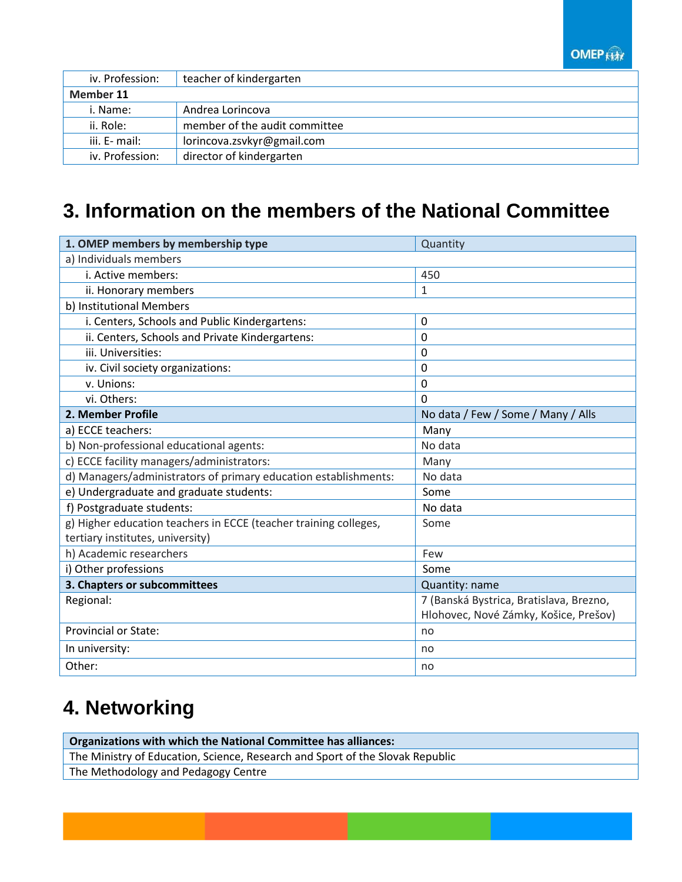**OMEP** 

| iv. Profession: | teacher of kindergarten       |
|-----------------|-------------------------------|
| Member 11       |                               |
| i. Name:        | Andrea Lorincova              |
| ii. Role:       | member of the audit committee |
| iii. E- mail:   | lorincova.zsvkyr@gmail.com    |
| iv. Profession: | director of kindergarten      |

### **3. Information on the members of the National Committee**

| 1. OMEP members by membership type                               | Quantity                                |
|------------------------------------------------------------------|-----------------------------------------|
| a) Individuals members                                           |                                         |
| i. Active members:                                               | 450                                     |
| ii. Honorary members                                             | 1                                       |
| b) Institutional Members                                         |                                         |
| i. Centers, Schools and Public Kindergartens:                    | 0                                       |
| ii. Centers, Schools and Private Kindergartens:                  | $\mathbf 0$                             |
| iii. Universities:                                               | 0                                       |
| iv. Civil society organizations:                                 | $\mathbf{0}$                            |
| v. Unions:                                                       | 0                                       |
| vi. Others:                                                      | $\mathbf 0$                             |
| 2. Member Profile                                                | No data / Few / Some / Many / Alls      |
| a) ECCE teachers:                                                | Many                                    |
| b) Non-professional educational agents:                          | No data                                 |
| c) ECCE facility managers/administrators:                        | Many                                    |
| d) Managers/administrators of primary education establishments:  | No data                                 |
| e) Undergraduate and graduate students:                          | Some                                    |
| f) Postgraduate students:                                        | No data                                 |
| g) Higher education teachers in ECCE (teacher training colleges, | Some                                    |
| tertiary institutes, university)                                 |                                         |
| h) Academic researchers                                          | Few                                     |
| i) Other professions                                             | Some                                    |
| 3. Chapters or subcommittees                                     | Quantity: name                          |
| Regional:                                                        | 7 (Banská Bystrica, Bratislava, Brezno, |
|                                                                  | Hlohovec, Nové Zámky, Košice, Prešov)   |
| Provincial or State:                                             | no                                      |
| In university:                                                   | no                                      |
| Other:                                                           | no                                      |

### **4. Networking**

**Organizations with which the National Committee has alliances:** The Ministry of Education, Science, Research and Sport of the Slovak Republic The Methodology and Pedagogy Centre